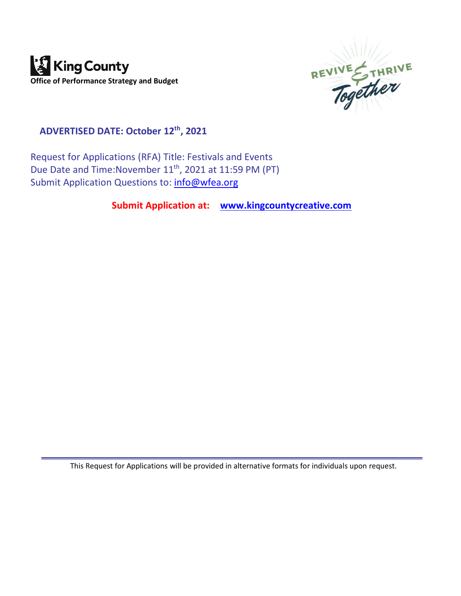



**ADVERTISED DATE: October 12 th , 2021**

Request for Applications (RFA) Title: Festivals and Events Due Date and Time: November 11<sup>th</sup>, 2021 at 11:59 PM (PT) Submit Application Questions to: [info@wfea.org](mailto:info@wfea.org)

**Submit Application at: [www.kingcountycreative.com](http://www.kingcountycreative.com/)**

This Request for Applications will be provided in alternative formats for individuals upon request.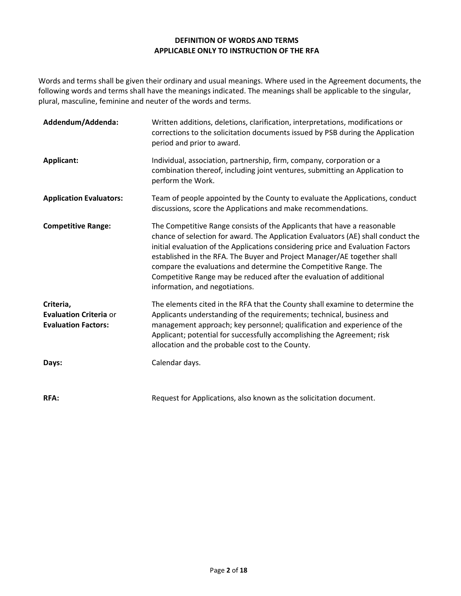#### **DEFINITION OF WORDS AND TERMS APPLICABLE ONLY TO INSTRUCTION OF THE RFA**

Words and terms shall be given their ordinary and usual meanings. Where used in the Agreement documents, the following words and terms shall have the meanings indicated. The meanings shall be applicable to the singular, plural, masculine, feminine and neuter of the words and terms.

| Addendum/Addenda:                                                        | Written additions, deletions, clarification, interpretations, modifications or<br>corrections to the solicitation documents issued by PSB during the Application<br>period and prior to award.                                                                                                                                                                                                                                                                                                         |
|--------------------------------------------------------------------------|--------------------------------------------------------------------------------------------------------------------------------------------------------------------------------------------------------------------------------------------------------------------------------------------------------------------------------------------------------------------------------------------------------------------------------------------------------------------------------------------------------|
| Applicant:                                                               | Individual, association, partnership, firm, company, corporation or a<br>combination thereof, including joint ventures, submitting an Application to<br>perform the Work.                                                                                                                                                                                                                                                                                                                              |
| <b>Application Evaluators:</b>                                           | Team of people appointed by the County to evaluate the Applications, conduct<br>discussions, score the Applications and make recommendations.                                                                                                                                                                                                                                                                                                                                                          |
| <b>Competitive Range:</b>                                                | The Competitive Range consists of the Applicants that have a reasonable<br>chance of selection for award. The Application Evaluators (AE) shall conduct the<br>initial evaluation of the Applications considering price and Evaluation Factors<br>established in the RFA. The Buyer and Project Manager/AE together shall<br>compare the evaluations and determine the Competitive Range. The<br>Competitive Range may be reduced after the evaluation of additional<br>information, and negotiations. |
| Criteria,<br><b>Evaluation Criteria or</b><br><b>Evaluation Factors:</b> | The elements cited in the RFA that the County shall examine to determine the<br>Applicants understanding of the requirements; technical, business and<br>management approach; key personnel; qualification and experience of the<br>Applicant; potential for successfully accomplishing the Agreement; risk<br>allocation and the probable cost to the County.                                                                                                                                         |
| Days:                                                                    | Calendar days.                                                                                                                                                                                                                                                                                                                                                                                                                                                                                         |
| <b>RFA:</b>                                                              | Request for Applications, also known as the solicitation document.                                                                                                                                                                                                                                                                                                                                                                                                                                     |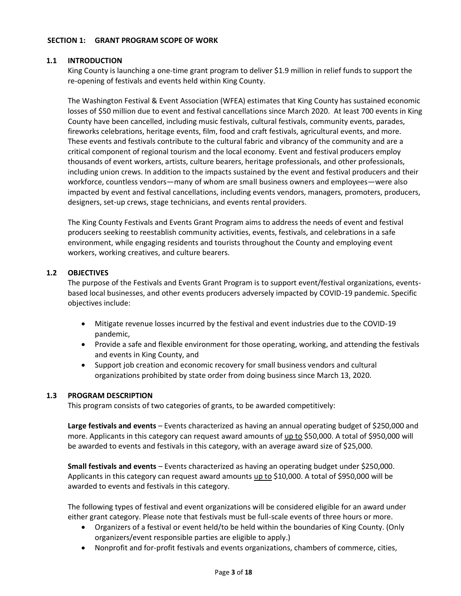#### **SECTION 1: GRANT PROGRAM SCOPE OF WORK**

### **1.1 INTRODUCTION**

King County is launching a one-time grant program to deliver \$1.9 million in relief funds to support the re-opening of festivals and events held within King County.

The Washington Festival & Event Association (WFEA) estimates that King County has sustained economic losses of \$50 million due to event and festival cancellations since March 2020. At least 700 events in King County have been cancelled, including music festivals, cultural festivals, community events, parades, fireworks celebrations, heritage events, film, food and craft festivals, agricultural events, and more. These events and festivals contribute to the cultural fabric and vibrancy of the community and are a critical component of regional tourism and the local economy. Event and festival producers employ thousands of event workers, artists, culture bearers, heritage professionals, and other professionals, including union crews. In addition to the impacts sustained by the event and festival producers and their workforce, countless vendors—many of whom are small business owners and employees—were also impacted by event and festival cancellations, including events vendors, managers, promoters, producers, designers, set-up crews, stage technicians, and events rental providers.

The King County Festivals and Events Grant Program aims to address the needs of event and festival producers seeking to reestablish community activities, events, festivals, and celebrations in a safe environment, while engaging residents and tourists throughout the County and employing event workers, working creatives, and culture bearers.

#### **1.2 OBJECTIVES**

The purpose of the Festivals and Events Grant Program is to support event/festival organizations, eventsbased local businesses, and other events producers adversely impacted by COVID-19 pandemic. Specific objectives include:

- Mitigate revenue losses incurred by the festival and event industries due to the COVID-19 pandemic,
- Provide a safe and flexible environment for those operating, working, and attending the festivals and events in King County, and
- Support job creation and economic recovery for small business vendors and cultural organizations prohibited by state order from doing business since March 13, 2020.

#### **1.3 PROGRAM DESCRIPTION**

This program consists of two categories of grants, to be awarded competitively:

**Large festivals and events** – Events characterized as having an annual operating budget of \$250,000 and more. Applicants in this category can request award amounts of up to \$50,000. A total of \$950,000 will be awarded to events and festivals in this category, with an average award size of \$25,000.

**Small festivals and events** – Events characterized as having an operating budget under \$250,000. Applicants in this category can request award amounts up to \$10,000. A total of \$950,000 will be awarded to events and festivals in this category.

The following types of festival and event organizations will be considered eligible for an award under either grant category. Please note that festivals must be full-scale events of three hours or more.

- Organizers of a festival or event held/to be held within the boundaries of King County. (Only organizers/event responsible parties are eligible to apply.)
- Nonprofit and for-profit festivals and events organizations, chambers of commerce, cities,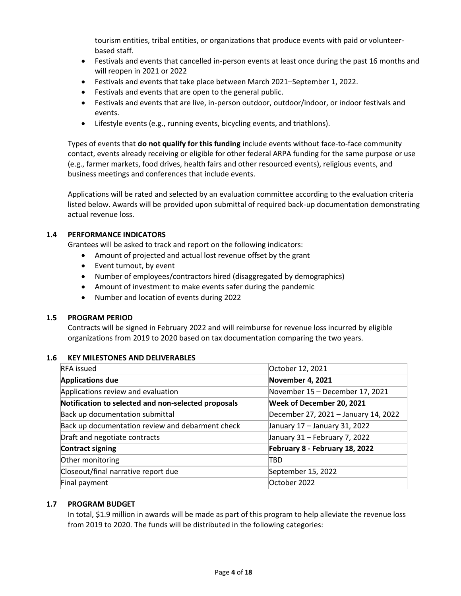tourism entities, tribal entities, or organizations that produce events with paid or volunteerbased staff.

- Festivals and events that cancelled in-person events at least once during the past 16 months and will reopen in 2021 or 2022
- Festivals and events that take place between March 2021–September 1, 2022.
- Festivals and events that are open to the general public.
- Festivals and events that are live, in-person outdoor, outdoor/indoor, or indoor festivals and events.
- Lifestyle events (e.g., running events, bicycling events, and triathlons).

Types of events that **do not qualify for this funding** include events without face-to-face community contact, events already receiving or eligible for other federal ARPA funding for the same purpose or use (e.g., farmer markets, food drives, health fairs and other resourced events), religious events, and business meetings and conferences that include events.

Applications will be rated and selected by an evaluation committee according to the evaluation criteria listed below. Awards will be provided upon submittal of required back-up documentation demonstrating actual revenue loss.

#### **1.4 PERFORMANCE INDICATORS**

Grantees will be asked to track and report on the following indicators:

- Amount of projected and actual lost revenue offset by the grant
- Event turnout, by event
- Number of employees/contractors hired (disaggregated by demographics)
- Amount of investment to make events safer during the pandemic
- Number and location of events during 2022

## **1.5 PROGRAM PERIOD**

Contracts will be signed in February 2022 and will reimburse for revenue loss incurred by eligible organizations from 2019 to 2020 based on tax documentation comparing the two years.

#### **1.6 KEY MILESTONES AND DELIVERABLES**

| <b>RFA</b> issued                                   | October 12, 2021                     |  |  |
|-----------------------------------------------------|--------------------------------------|--|--|
| <b>Applications due</b>                             | November 4, 2021                     |  |  |
| Applications review and evaluation                  | November 15 - December 17, 2021      |  |  |
| Notification to selected and non-selected proposals | Week of December 20, 2021            |  |  |
| Back up documentation submittal                     | December 27, 2021 - January 14, 2022 |  |  |
| Back up documentation review and debarment check    | January 17 - January 31, 2022        |  |  |
| Draft and negotiate contracts                       | January 31 - February 7, 2022        |  |  |
| Contract signing                                    | February 8 - February 18, 2022       |  |  |
| Other monitoring                                    | TBD                                  |  |  |
| Closeout/final narrative report due                 | September 15, 2022                   |  |  |
| Final payment                                       | October 2022                         |  |  |

## **1.7 PROGRAM BUDGET**

In total, \$1.9 million in awards will be made as part of this program to help alleviate the revenue loss from 2019 to 2020. The funds will be distributed in the following categories: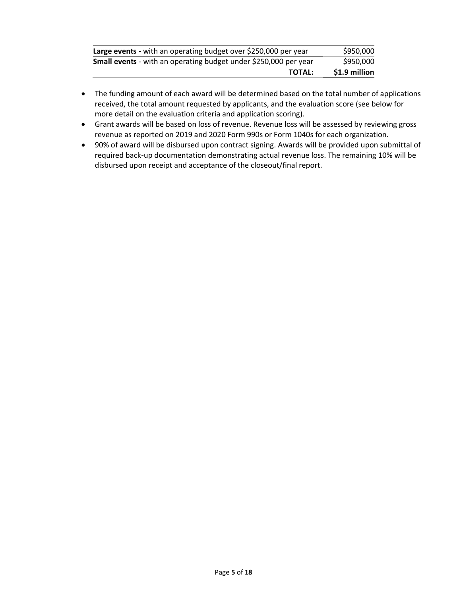| <b>TOTAL:</b>                                                    | \$1.9 million |
|------------------------------------------------------------------|---------------|
| Small events - with an operating budget under \$250,000 per year | \$950,000     |
| Large events - with an operating budget over \$250,000 per year  | \$950,000     |

- The funding amount of each award will be determined based on the total number of applications received, the total amount requested by applicants, and the evaluation score (see below for more detail on the evaluation criteria and application scoring).
- Grant awards will be based on loss of revenue. Revenue loss will be assessed by reviewing gross revenue as reported on 2019 and 2020 Form 990s or Form 1040s for each organization.
- 90% of award will be disbursed upon contract signing. Awards will be provided upon submittal of required back-up documentation demonstrating actual revenue loss. The remaining 10% will be disbursed upon receipt and acceptance of the closeout/final report.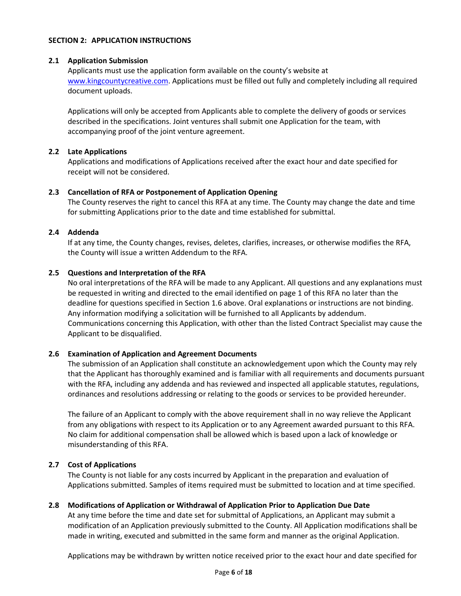#### **SECTION 2: APPLICATION INSTRUCTIONS**

## **2.1 Application Submission**

Applicants must use the application form available on the county's website at [www.kingcountycreative.com.](http://www.kingcountycreative.com/) Applications must be filled out fully and completely including all required document uploads.

Applications will only be accepted from Applicants able to complete the delivery of goods or services described in the specifications. Joint ventures shall submit one Application for the team, with accompanying proof of the joint venture agreement.

## **2.2 Late Applications**

Applications and modifications of Applications received after the exact hour and date specified for receipt will not be considered.

# **2.3 Cancellation of RFA or Postponement of Application Opening**

The County reserves the right to cancel this RFA at any time. The County may change the date and time for submitting Applications prior to the date and time established for submittal.

# **2.4 Addenda**

If at any time, the County changes, revises, deletes, clarifies, increases, or otherwise modifies the RFA, the County will issue a written Addendum to the RFA.

# **2.5 Questions and Interpretation of the RFA**

No oral interpretations of the RFA will be made to any Applicant. All questions and any explanations must be requested in writing and directed to the email identified on page 1 of this RFA no later than the deadline for questions specified in Section 1.6 above. Oral explanations or instructions are not binding. Any information modifying a solicitation will be furnished to all Applicants by addendum. Communications concerning this Application, with other than the listed Contract Specialist may cause the Applicant to be disqualified.

# **2.6 Examination of Application and Agreement Documents**

The submission of an Application shall constitute an acknowledgement upon which the County may rely that the Applicant has thoroughly examined and is familiar with all requirements and documents pursuant with the RFA, including any addenda and has reviewed and inspected all applicable statutes, regulations, ordinances and resolutions addressing or relating to the goods or services to be provided hereunder.

The failure of an Applicant to comply with the above requirement shall in no way relieve the Applicant from any obligations with respect to its Application or to any Agreement awarded pursuant to this RFA. No claim for additional compensation shall be allowed which is based upon a lack of knowledge or misunderstanding of this RFA.

## **2.7 Cost of Applications**

The County is not liable for any costs incurred by Applicant in the preparation and evaluation of Applications submitted. Samples of items required must be submitted to location and at time specified.

# **2.8 Modifications of Application or Withdrawal of Application Prior to Application Due Date**

At any time before the time and date set for submittal of Applications, an Applicant may submit a modification of an Application previously submitted to the County. All Application modifications shall be made in writing, executed and submitted in the same form and manner as the original Application.

Applications may be withdrawn by written notice received prior to the exact hour and date specified for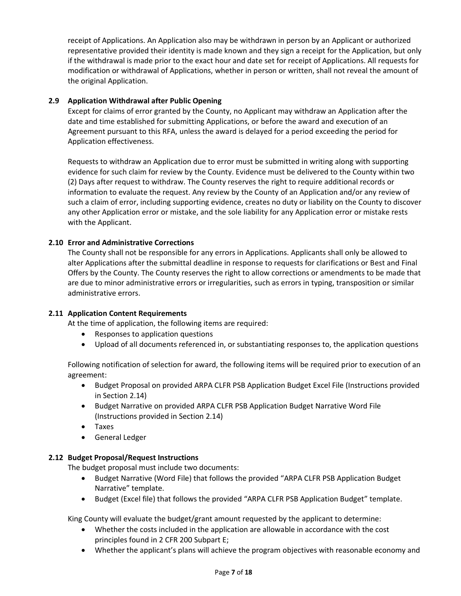receipt of Applications. An Application also may be withdrawn in person by an Applicant or authorized representative provided their identity is made known and they sign a receipt for the Application, but only if the withdrawal is made prior to the exact hour and date set for receipt of Applications. All requests for modification or withdrawal of Applications, whether in person or written, shall not reveal the amount of the original Application.

# **2.9 Application Withdrawal after Public Opening**

Except for claims of error granted by the County, no Applicant may withdraw an Application after the date and time established for submitting Applications, or before the award and execution of an Agreement pursuant to this RFA, unless the award is delayed for a period exceeding the period for Application effectiveness.

Requests to withdraw an Application due to error must be submitted in writing along with supporting evidence for such claim for review by the County. Evidence must be delivered to the County within two (2) Days after request to withdraw. The County reserves the right to require additional records or information to evaluate the request. Any review by the County of an Application and/or any review of such a claim of error, including supporting evidence, creates no duty or liability on the County to discover any other Application error or mistake, and the sole liability for any Application error or mistake rests with the Applicant.

# **2.10 Error and Administrative Corrections**

The County shall not be responsible for any errors in Applications. Applicants shall only be allowed to alter Applications after the submittal deadline in response to requests for clarifications or Best and Final Offers by the County. The County reserves the right to allow corrections or amendments to be made that are due to minor administrative errors or irregularities, such as errors in typing, transposition or similar administrative errors.

## **2.11 Application Content Requirements**

At the time of application, the following items are required:

- Responses to application questions
- Upload of all documents referenced in, or substantiating responses to, the application questions

Following notification of selection for award, the following items will be required prior to execution of an agreement:

- Budget Proposal on provided ARPA CLFR PSB Application Budget Excel File (Instructions provided in Section 2.14)
- Budget Narrative on provided ARPA CLFR PSB Application Budget Narrative Word File (Instructions provided in Section 2.14)
- Taxes
- General Ledger

## **2.12 Budget Proposal/Request Instructions**

The budget proposal must include two documents:

- Budget Narrative (Word File) that follows the provided "ARPA CLFR PSB Application Budget Narrative" template.
- Budget (Excel file) that follows the provided "ARPA CLFR PSB Application Budget" template.

King County will evaluate the budget/grant amount requested by the applicant to determine:

- Whether the costs included in the application are allowable in accordance with the cost principles found in 2 CFR 200 Subpart E;
- Whether the applicant's plans will achieve the program objectives with reasonable economy and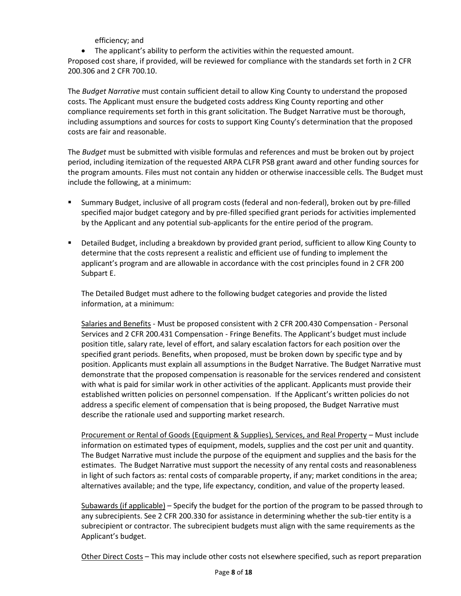efficiency; and

• The applicant's ability to perform the activities within the requested amount.

Proposed cost share, if provided, will be reviewed for compliance with the standards set forth in 2 CFR 200.306 and 2 CFR 700.10.

The *Budget Narrative* must contain sufficient detail to allow King County to understand the proposed costs. The Applicant must ensure the budgeted costs address King County reporting and other compliance requirements set forth in this grant solicitation. The Budget Narrative must be thorough, including assumptions and sources for costs to support King County's determination that the proposed costs are fair and reasonable.

The *Budget* must be submitted with visible formulas and references and must be broken out by project period, including itemization of the requested ARPA CLFR PSB grant award and other funding sources for the program amounts. Files must not contain any hidden or otherwise inaccessible cells. The Budget must include the following, at a minimum:

- Summary Budget, inclusive of all program costs (federal and non-federal), broken out by pre-filled specified major budget category and by pre-filled specified grant periods for activities implemented by the Applicant and any potential sub-applicants for the entire period of the program.
- Detailed Budget, including a breakdown by provided grant period, sufficient to allow King County to determine that the costs represent a realistic and efficient use of funding to implement the applicant's program and are allowable in accordance with the cost principles found in 2 CFR 200 Subpart E.

The Detailed Budget must adhere to the following budget categories and provide the listed information, at a minimum:

Salaries and Benefits - Must be proposed consistent with 2 CFR 200.430 Compensation - Personal Services and 2 CFR 200.431 Compensation - Fringe Benefits. The Applicant's budget must include position title, salary rate, level of effort, and salary escalation factors for each position over the specified grant periods. Benefits, when proposed, must be broken down by specific type and by position. Applicants must explain all assumptions in the Budget Narrative. The Budget Narrative must demonstrate that the proposed compensation is reasonable for the services rendered and consistent with what is paid for similar work in other activities of the applicant. Applicants must provide their established written policies on personnel compensation. If the Applicant's written policies do not address a specific element of compensation that is being proposed, the Budget Narrative must describe the rationale used and supporting market research.

Procurement or Rental of Goods (Equipment & Supplies), Services, and Real Property – Must include information on estimated types of equipment, models, supplies and the cost per unit and quantity. The Budget Narrative must include the purpose of the equipment and supplies and the basis for the estimates. The Budget Narrative must support the necessity of any rental costs and reasonableness in light of such factors as: rental costs of comparable property, if any; market conditions in the area; alternatives available; and the type, life expectancy, condition, and value of the property leased.

Subawards (if applicable) – Specify the budget for the portion of the program to be passed through to any subrecipients. See 2 CFR 200.330 for assistance in determining whether the sub-tier entity is a subrecipient or contractor. The subrecipient budgets must align with the same requirements as the Applicant's budget.

Other Direct Costs – This may include other costs not elsewhere specified, such as report preparation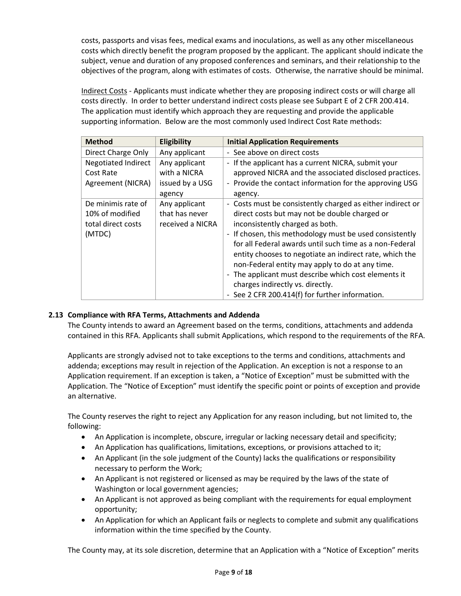costs, passports and visas fees, medical exams and inoculations, as well as any other miscellaneous costs which directly benefit the program proposed by the applicant. The applicant should indicate the subject, venue and duration of any proposed conferences and seminars, and their relationship to the objectives of the program, along with estimates of costs. Otherwise, the narrative should be minimal.

Indirect Costs - Applicants must indicate whether they are proposing indirect costs or will charge all costs directly. In order to better understand indirect costs please see Subpart E of 2 CFR 200.414. The application must identify which approach they are requesting and provide the applicable supporting information. Below are the most commonly used Indirect Cost Rate methods:

| <b>Method</b>                               | Eligibility      | <b>Initial Application Requirements</b>                    |  |  |  |
|---------------------------------------------|------------------|------------------------------------------------------------|--|--|--|
| Direct Charge Only<br>Any applicant         |                  | - See above on direct costs                                |  |  |  |
| <b>Negotiated Indirect</b><br>Any applicant |                  | - If the applicant has a current NICRA, submit your        |  |  |  |
| Cost Rate                                   | with a NICRA     | approved NICRA and the associated disclosed practices.     |  |  |  |
| Agreement (NICRA)                           | issued by a USG  | - Provide the contact information for the approving USG    |  |  |  |
|                                             | agency           | agency.                                                    |  |  |  |
| De minimis rate of                          | Any applicant    | - Costs must be consistently charged as either indirect or |  |  |  |
| that has never<br>10% of modified           |                  | direct costs but may not be double charged or              |  |  |  |
| total direct costs                          | received a NICRA | inconsistently charged as both.                            |  |  |  |
| (MTDC)                                      |                  | - If chosen, this methodology must be used consistently    |  |  |  |
|                                             |                  | for all Federal awards until such time as a non-Federal    |  |  |  |
|                                             |                  | entity chooses to negotiate an indirect rate, which the    |  |  |  |
|                                             |                  | non-Federal entity may apply to do at any time.            |  |  |  |
|                                             |                  | - The applicant must describe which cost elements it       |  |  |  |
|                                             |                  | charges indirectly vs. directly.                           |  |  |  |
|                                             |                  | - See 2 CFR 200.414(f) for further information.            |  |  |  |

# **2.13 Compliance with RFA Terms, Attachments and Addenda**

The County intends to award an Agreement based on the terms, conditions, attachments and addenda contained in this RFA. Applicants shall submit Applications, which respond to the requirements of the RFA.

Applicants are strongly advised not to take exceptions to the terms and conditions, attachments and addenda; exceptions may result in rejection of the Application. An exception is not a response to an Application requirement. If an exception is taken, a "Notice of Exception" must be submitted with the Application. The "Notice of Exception" must identify the specific point or points of exception and provide an alternative.

The County reserves the right to reject any Application for any reason including, but not limited to, the following:

- An Application is incomplete, obscure, irregular or lacking necessary detail and specificity;
- An Application has qualifications, limitations, exceptions, or provisions attached to it;
- An Applicant (in the sole judgment of the County) lacks the qualifications or responsibility necessary to perform the Work;
- An Applicant is not registered or licensed as may be required by the laws of the state of Washington or local government agencies;
- An Applicant is not approved as being compliant with the requirements for equal employment opportunity;
- An Application for which an Applicant fails or neglects to complete and submit any qualifications information within the time specified by the County.

The County may, at its sole discretion, determine that an Application with a "Notice of Exception" merits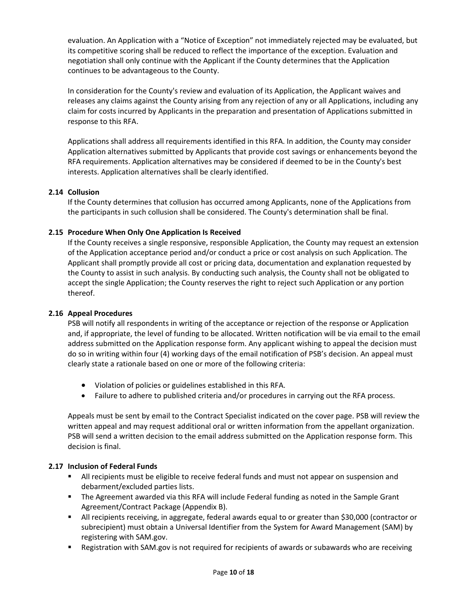evaluation. An Application with a "Notice of Exception" not immediately rejected may be evaluated, but its competitive scoring shall be reduced to reflect the importance of the exception. Evaluation and negotiation shall only continue with the Applicant if the County determines that the Application continues to be advantageous to the County.

In consideration for the County's review and evaluation of its Application, the Applicant waives and releases any claims against the County arising from any rejection of any or all Applications, including any claim for costs incurred by Applicants in the preparation and presentation of Applications submitted in response to this RFA.

Applications shall address all requirements identified in this RFA. In addition, the County may consider Application alternatives submitted by Applicants that provide cost savings or enhancements beyond the RFA requirements. Application alternatives may be considered if deemed to be in the County's best interests. Application alternatives shall be clearly identified.

# **2.14 Collusion**

If the County determines that collusion has occurred among Applicants, none of the Applications from the participants in such collusion shall be considered. The County's determination shall be final.

# **2.15 Procedure When Only One Application Is Received**

If the County receives a single responsive, responsible Application, the County may request an extension of the Application acceptance period and/or conduct a price or cost analysis on such Application. The Applicant shall promptly provide all cost or pricing data, documentation and explanation requested by the County to assist in such analysis. By conducting such analysis, the County shall not be obligated to accept the single Application; the County reserves the right to reject such Application or any portion thereof.

## **2.16 Appeal Procedures**

PSB will notify all respondents in writing of the acceptance or rejection of the response or Application and, if appropriate, the level of funding to be allocated. Written notification will be via email to the email address submitted on the Application response form. Any applicant wishing to appeal the decision must do so in writing within four (4) working days of the email notification of PSB's decision. An appeal must clearly state a rationale based on one or more of the following criteria:

- Violation of policies or guidelines established in this RFA.
- Failure to adhere to published criteria and/or procedures in carrying out the RFA process.

Appeals must be sent by email to the Contract Specialist indicated on the cover page. PSB will review the written appeal and may request additional oral or written information from the appellant organization. PSB will send a written decision to the email address submitted on the Application response form. This decision is final.

## **2.17 Inclusion of Federal Funds**

- **E** All recipients must be eligible to receive federal funds and must not appear on suspension and debarment/excluded parties lists.
- **■** The Agreement awarded via this RFA will include Federal funding as noted in the Sample Grant Agreement/Contract Package (Appendix B).
- All recipients receiving, in aggregate, federal awards equal to or greater than \$30,000 (contractor or subrecipient) must obtain a Universal Identifier from the System for Award Management (SAM) by registering with SAM.gov.
- Registration with SAM.gov is not required for recipients of awards or subawards who are receiving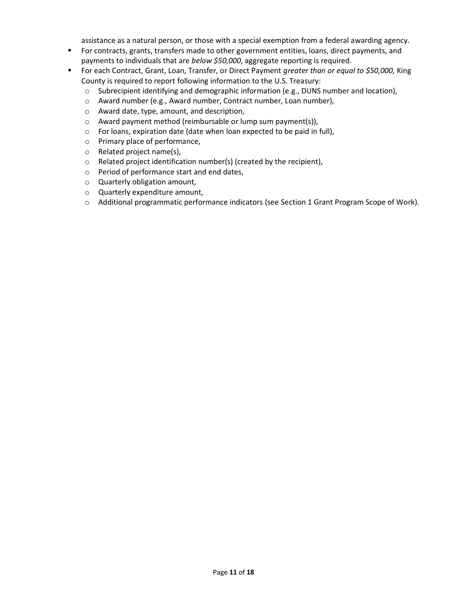assistance as a natural person, or those with a special exemption from a federal awarding agency.

- **•** For contracts, grants, transfers made to other government entities, loans, direct payments, and payments to individuals that are *below \$50,000*, aggregate reporting is required.
- For each Contract, Grant, Loan, Transfer, or Direct Payment *greater than or equal to \$50,000*, King County is required to report following information to the U.S. Treasury:
	- o Subrecipient identifying and demographic information (e.g., DUNS number and location),
	- o Award number (e.g., Award number, Contract number, Loan number),
	- o Award date, type, amount, and description,
	- o Award payment method (reimbursable or lump sum payment(s)),
	- o For loans, expiration date (date when loan expected to be paid in full),
	- o Primary place of performance,
	- o Related project name(s),
	- o Related project identification number(s) (created by the recipient),
	- o Period of performance start and end dates,
	- o Quarterly obligation amount,
	- o Quarterly expenditure amount,
	- o Additional programmatic performance indicators (see Section 1 Grant Program Scope of Work).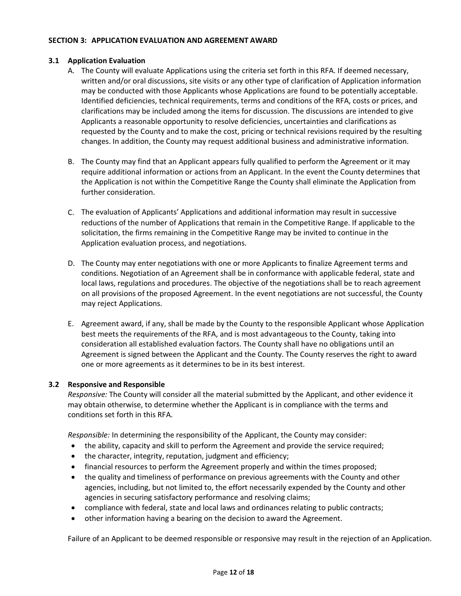#### **SECTION 3: APPLICATION EVALUATION AND AGREEMENT AWARD**

# **3.1 Application Evaluation**

- A. The County will evaluate Applications using the criteria set forth in this RFA. If deemed necessary, written and/or oral discussions, site visits or any other type of clarification of Application information may be conducted with those Applicants whose Applications are found to be potentially acceptable. Identified deficiencies, technical requirements, terms and conditions of the RFA, costs or prices, and clarifications may be included among the items for discussion. The discussions are intended to give Applicants a reasonable opportunity to resolve deficiencies, uncertainties and clarifications as requested by the County and to make the cost, pricing or technical revisions required by the resulting changes. In addition, the County may request additional business and administrative information.
- B. The County may find that an Applicant appears fully qualified to perform the Agreement or it may require additional information or actions from an Applicant. In the event the County determines that the Application is not within the Competitive Range the County shall eliminate the Application from further consideration.
- C. The evaluation of Applicants' Applications and additional information may result in successive reductions of the number of Applications that remain in the Competitive Range. If applicable to the solicitation, the firms remaining in the Competitive Range may be invited to continue in the Application evaluation process, and negotiations.
- D. The County may enter negotiations with one or more Applicants to finalize Agreement terms and conditions. Negotiation of an Agreement shall be in conformance with applicable federal, state and local laws, regulations and procedures. The objective of the negotiations shall be to reach agreement on all provisions of the proposed Agreement. In the event negotiations are not successful, the County may reject Applications.
- E. Agreement award, if any, shall be made by the County to the responsible Applicant whose Application best meets the requirements of the RFA, and is most advantageous to the County, taking into consideration all established evaluation factors. The County shall have no obligations until an Agreement is signed between the Applicant and the County. The County reserves the right to award one or more agreements as it determines to be in its best interest.

## **3.2 Responsive and Responsible**

*Responsive:* The County will consider all the material submitted by the Applicant, and other evidence it may obtain otherwise, to determine whether the Applicant is in compliance with the terms and conditions set forth in this RFA.

*Responsible:* In determining the responsibility of the Applicant, the County may consider:

- the ability, capacity and skill to perform the Agreement and provide the service required;
- the character, integrity, reputation, judgment and efficiency;
- financial resources to perform the Agreement properly and within the times proposed;
- the quality and timeliness of performance on previous agreements with the County and other agencies, including, but not limited to, the effort necessarily expended by the County and other agencies in securing satisfactory performance and resolving claims;
- compliance with federal, state and local laws and ordinances relating to public contracts;
- other information having a bearing on the decision to award the Agreement.

Failure of an Applicant to be deemed responsible or responsive may result in the rejection of an Application.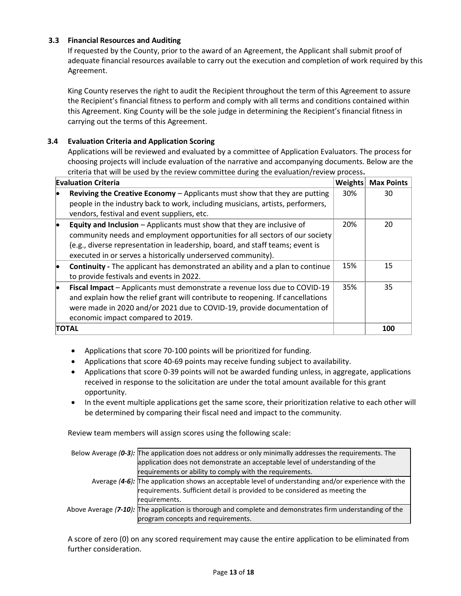## **3.3 Financial Resources and Auditing**

If requested by the County, prior to the award of an Agreement, the Applicant shall submit proof of adequate financial resources available to carry out the execution and completion of work required by this Agreement.

King County reserves the right to audit the Recipient throughout the term of this Agreement to assure the Recipient's financial fitness to perform and comply with all terms and conditions contained within this Agreement. King County will be the sole judge in determining the Recipient's financial fitness in carrying out the terms of this Agreement.

# **3.4 Evaluation Criteria and Application Scoring**

Applications will be reviewed and evaluated by a committee of Application Evaluators. The process for choosing projects will include evaluation of the narrative and accompanying documents. Below are the criteria that will be used by the review committee during the evaluation/review process**.** 

| <b>Evaluation Criteria</b> |                                                                                                                                                                                                                                                                                                        | <b>Weights</b> | <b>Max Points</b> |
|----------------------------|--------------------------------------------------------------------------------------------------------------------------------------------------------------------------------------------------------------------------------------------------------------------------------------------------------|----------------|-------------------|
|                            | <b>Reviving the Creative Economy</b> $-$ Applicants must show that they are putting<br>people in the industry back to work, including musicians, artists, performers,<br>vendors, festival and event suppliers, etc.                                                                                   | 30%            | 30                |
|                            | Equity and Inclusion - Applicants must show that they are inclusive of<br>community needs and employment opportunities for all sectors of our society<br>(e.g., diverse representation in leadership, board, and staff teams; event is<br>executed in or serves a historically underserved community). | 20%            | 20                |
|                            | <b>Continuity</b> - The applicant has demonstrated an ability and a plan to continue<br>to provide festivals and events in 2022.                                                                                                                                                                       | 15%            | 15                |
| lo.                        | Fiscal Impact - Applicants must demonstrate a revenue loss due to COVID-19<br>and explain how the relief grant will contribute to reopening. If cancellations<br>were made in 2020 and/or 2021 due to COVID-19, provide documentation of<br>economic impact compared to 2019.                          | 35%            | 35                |
|                            | TOTAL                                                                                                                                                                                                                                                                                                  |                | 100               |

- Applications that score 70-100 points will be prioritized for funding.
- Applications that score 40-69 points may receive funding subject to availability.
- Applications that score 0-39 points will not be awarded funding unless, in aggregate, applications received in response to the solicitation are under the total amount available for this grant opportunity.
- In the event multiple applications get the same score, their prioritization relative to each other will be determined by comparing their fiscal need and impact to the community.

Review team members will assign scores using the following scale:

| Below Average $(0-3)$ : The application does not address or only minimally addresses the requirements. The |  |
|------------------------------------------------------------------------------------------------------------|--|
| application does not demonstrate an acceptable level of understanding of the                               |  |
| requirements or ability to comply with the requirements.                                                   |  |
| Average $(4-6)$ : The application shows an acceptable level of understanding and/or experience with the    |  |
| requirements. Sufficient detail is provided to be considered as meeting the                                |  |
| requirements.                                                                                              |  |
| Above Average (7-10): The application is thorough and complete and demonstrates firm understanding of the  |  |
| program concepts and requirements.                                                                         |  |

A score of zero (0) on any scored requirement may cause the entire application to be eliminated from further consideration.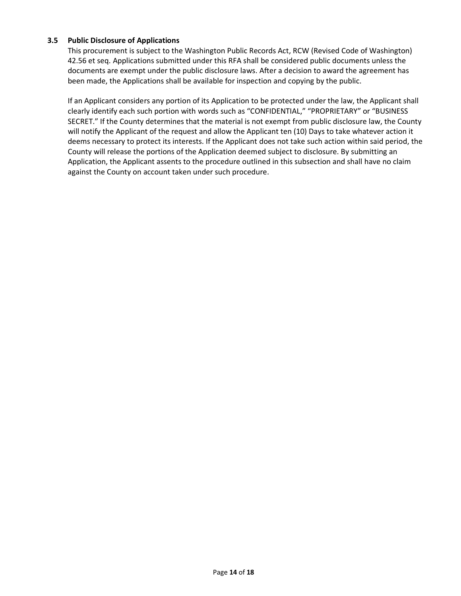## **3.5 Public Disclosure of Applications**

This procurement is subject to the Washington Public Records Act, RCW (Revised Code of Washington) 42.56 et seq. Applications submitted under this RFA shall be considered public documents unless the documents are exempt under the public disclosure laws. After a decision to award the agreement has been made, the Applications shall be available for inspection and copying by the public.

If an Applicant considers any portion of its Application to be protected under the law, the Applicant shall clearly identify each such portion with words such as "CONFIDENTIAL," "PROPRIETARY" or "BUSINESS SECRET." If the County determines that the material is not exempt from public disclosure law, the County will notify the Applicant of the request and allow the Applicant ten (10) Days to take whatever action it deems necessary to protect its interests. If the Applicant does not take such action within said period, the County will release the portions of the Application deemed subject to disclosure. By submitting an Application, the Applicant assents to the procedure outlined in this subsection and shall have no claim against the County on account taken under such procedure.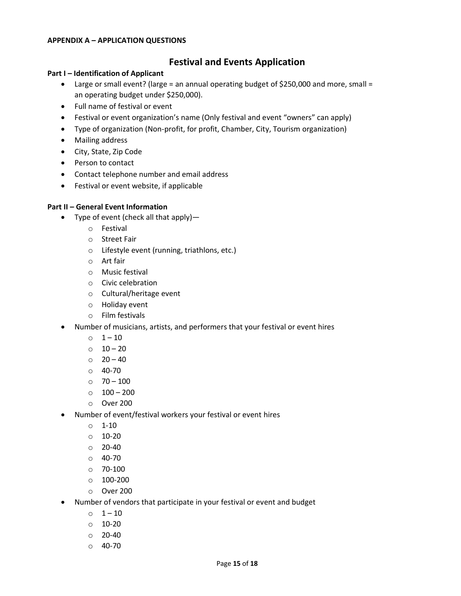#### **APPENDIX A – APPLICATION QUESTIONS**

# **Festival and Events Application**

#### **Part I – Identification of Applicant**

- Large or small event? (large = an annual operating budget of \$250,000 and more, small = an operating budget under \$250,000).
- Full name of festival or event
- Festival or event organization's name (Only festival and event "owners" can apply)
- Type of organization (Non-profit, for profit, Chamber, City, Tourism organization)
- Mailing address
- City, State, Zip Code
- Person to contact
- Contact telephone number and email address
- Festival or event website, if applicable

## **Part II – General Event Information**

- Type of event (check all that apply)
	- o Festival
	- o Street Fair
	- o Lifestyle event (running, triathlons, etc.)
	- o Art fair
	- o Music festival
	- o Civic celebration
	- o Cultural/heritage event
	- o Holiday event
	- o Film festivals
- Number of musicians, artists, and performers that your festival or event hires
	- $0 \t 1 10$
	- $0 10 20$
	- $\circ$  20 40
	- $O$  40-70
	- $0$  70 100
	- $\circ$  100 200
	- o Over 200
- Number of event/festival workers your festival or event hires
	- $\circ$  1-10
	- $0 10 20$
	- $O$  20-40
	- $O$  40-70
	- o 70-100
	- o 100-200
	- o Over 200
- Number of vendors that participate in your festival or event and budget
	- $0 1 10$
	- o 10-20
	- $O$  20-40
	- o 40-70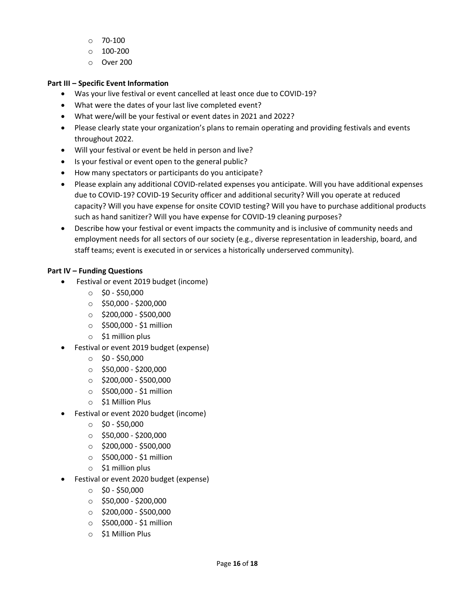- $\circ$  70-100
- o 100-200
- o Over 200

# **Part III – Specific Event Information**

- Was your live festival or event cancelled at least once due to COVID-19?
- What were the dates of your last live completed event?
- What were/will be your festival or event dates in 2021 and 2022?
- Please clearly state your organization's plans to remain operating and providing festivals and events throughout 2022.
- Will your festival or event be held in person and live?
- Is your festival or event open to the general public?
- How many spectators or participants do you anticipate?
- Please explain any additional COVID-related expenses you anticipate. Will you have additional expenses due to COVID-19? COVID-19 Security officer and additional security? Will you operate at reduced capacity? Will you have expense for onsite COVID testing? Will you have to purchase additional products such as hand sanitizer? Will you have expense for COVID-19 cleaning purposes?
- Describe how your festival or event impacts the community and is inclusive of community needs and employment needs for all sectors of our society (e.g., diverse representation in leadership, board, and staff teams; event is executed in or services a historically underserved community).

# **Part IV – Funding Questions**

- Festival or event 2019 budget (income)
	- $\circ$  \$0 \$50,000
	- $\circ$  \$50,000 \$200,000
	- $\circ$  \$200,000 \$500,000
	- $\circ$  \$500,000 \$1 million
	- $\circ$  \$1 million plus
- Festival or event 2019 budget (expense)
	- $\circ$  \$0 \$50,000
	- $\circ$  \$50,000 \$200,000
	- $\circ$  \$200,000 \$500,000
	- $\circ$  \$500,000 \$1 million
	- o \$1 Million Plus
- Festival or event 2020 budget (income)
	- $\circ$  \$0 \$50,000
	- $\circ$  \$50,000 \$200,000
	- $\circ$  \$200,000 \$500,000
	- o \$500,000 \$1 million
	- o \$1 million plus
- Festival or event 2020 budget (expense)
	- $\circ$  \$0 \$50,000
	- $\circ$  \$50,000 \$200,000
	- $\circ$  \$200,000 \$500,000
	- o \$500,000 \$1 million
	- o \$1 Million Plus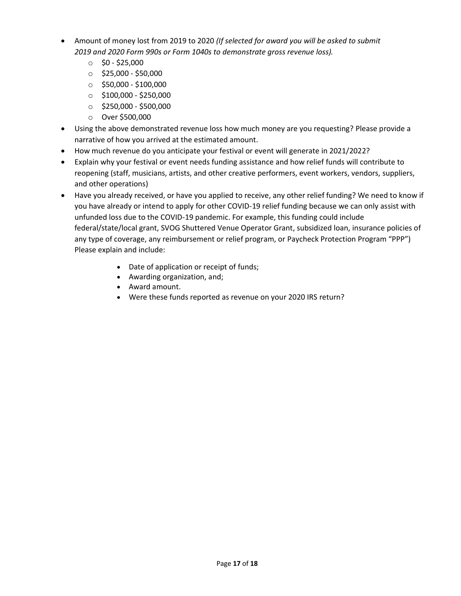- Amount of money lost from 2019 to 2020 *(If selected for award you will be asked to submit 2019 and 2020 Form 990s or Form 1040s to demonstrate gross revenue loss).*
	- $\circ$  \$0 \$25,000
	- $\circ$  \$25,000 \$50,000
	- $\circ$  \$50,000 \$100,000
	- $\circ$  \$100,000 \$250,000
	- $\circ$  \$250,000 \$500,000
	- o Over \$500,000
- Using the above demonstrated revenue loss how much money are you requesting? Please provide a narrative of how you arrived at the estimated amount.
- How much revenue do you anticipate your festival or event will generate in 2021/2022?
- Explain why your festival or event needs funding assistance and how relief funds will contribute to reopening (staff, musicians, artists, and other creative performers, event workers, vendors, suppliers, and other operations)
- Have you already received, or have you applied to receive, any other relief funding? We need to know if you have already or intend to apply for other COVID-19 relief funding because we can only assist with unfunded loss due to the COVID-19 pandemic. For example, this funding could include federal/state/local grant, SVOG Shuttered Venue Operator Grant, subsidized loan, insurance policies of any type of coverage, any reimbursement or relief program, or Paycheck Protection Program "PPP") Please explain and include:
	- Date of application or receipt of funds;
	- Awarding organization, and;
	- Award amount.
	- Were these funds reported as revenue on your 2020 IRS return?